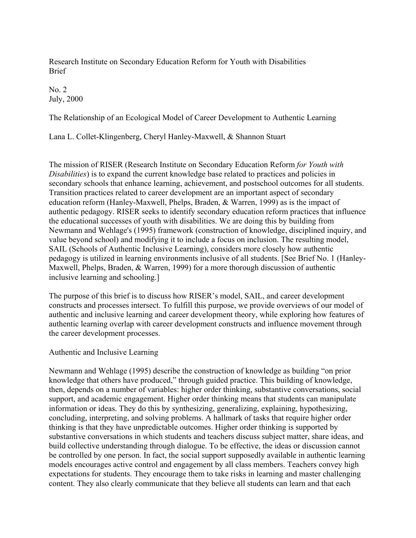Research Institute on Secondary Education Reform for Youth with Disabilities Brief

No. 2 July, 2000

The Relationship of an Ecological Model of Career Development to Authentic Learning

Lana L. Collet-Klingenberg, Cheryl Hanley-Maxwell, & Shannon Stuart

The mission of RISER (Research Institute on Secondary Education Reform *for Youth with Disabilities*) is to expand the current knowledge base related to practices and policies in secondary schools that enhance learning, achievement, and postschool outcomes for all students. Transition practices related to career development are an important aspect of secondary education reform (Hanley-Maxwell, Phelps, Braden, & Warren, 1999) as is the impact of authentic pedagogy. RISER seeks to identify secondary education reform practices that influence the educational successes of youth with disabilities. We are doing this by building from Newmann and Wehlage's (1995) framework (construction of knowledge, disciplined inquiry, and value beyond school) and modifying it to include a focus on inclusion. The resulting model, SAIL (Schools of Authentic Inclusive Learning), considers more closely how authentic pedagogy is utilized in learning environments inclusive of all students. [See Brief No. 1 (Hanley-Maxwell, Phelps, Braden, & Warren, 1999) for a more thorough discussion of authentic inclusive learning and schooling.]

The purpose of this brief is to discuss how RISER's model, SAIL, and career development constructs and processes intersect. To fulfill this purpose, we provide overviews of our model of authentic and inclusive learning and career development theory, while exploring how features of authentic learning overlap with career development constructs and influence movement through the career development processes.

# Authentic and Inclusive Learning

Newmann and Wehlage (1995) describe the construction of knowledge as building "on prior knowledge that others have produced," through guided practice. This building of knowledge, then, depends on a number of variables: higher order thinking, substantive conversations, social support, and academic engagement. Higher order thinking means that students can manipulate information or ideas. They do this by synthesizing, generalizing, explaining, hypothesizing, concluding, interpreting, and solving problems. A hallmark of tasks that require higher order thinking is that they have unpredictable outcomes. Higher order thinking is supported by substantive conversations in which students and teachers discuss subject matter, share ideas, and build collective understanding through dialogue. To be effective, the ideas or discussion cannot be controlled by one person. In fact, the social support supposedly available in authentic learning models encourages active control and engagement by all class members. Teachers convey high expectations for students. They encourage them to take risks in learning and master challenging content. They also clearly communicate that they believe all students can learn and that each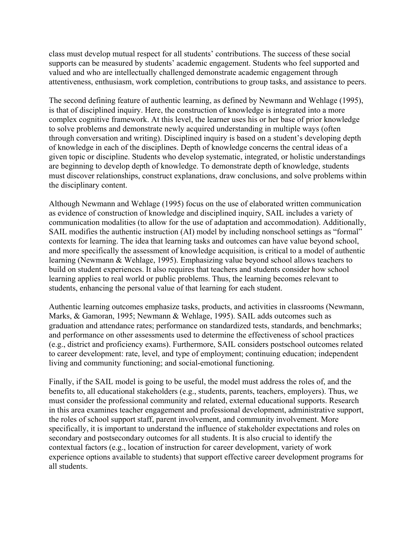class must develop mutual respect for all students' contributions. The success of these social supports can be measured by students' academic engagement. Students who feel supported and valued and who are intellectually challenged demonstrate academic engagement through attentiveness, enthusiasm, work completion, contributions to group tasks, and assistance to peers.

The second defining feature of authentic learning, as defined by Newmann and Wehlage (1995), is that of disciplined inquiry. Here, the construction of knowledge is integrated into a more complex cognitive framework. At this level, the learner uses his or her base of prior knowledge to solve problems and demonstrate newly acquired understanding in multiple ways (often through conversation and writing). Disciplined inquiry is based on a student's developing depth of knowledge in each of the disciplines. Depth of knowledge concerns the central ideas of a given topic or discipline. Students who develop systematic, integrated, or holistic understandings are beginning to develop depth of knowledge. To demonstrate depth of knowledge, students must discover relationships, construct explanations, draw conclusions, and solve problems within the disciplinary content.

Although Newmann and Wehlage (1995) focus on the use of elaborated written communication as evidence of construction of knowledge and disciplined inquiry, SAIL includes a variety of communication modalities (to allow for the use of adaptation and accommodation). Additionally, SAIL modifies the authentic instruction (AI) model by including nonschool settings as "formal" contexts for learning. The idea that learning tasks and outcomes can have value beyond school, and more specifically the assessment of knowledge acquisition, is critical to a model of authentic learning (Newmann & Wehlage, 1995). Emphasizing value beyond school allows teachers to build on student experiences. It also requires that teachers and students consider how school learning applies to real world or public problems. Thus, the learning becomes relevant to students, enhancing the personal value of that learning for each student.

Authentic learning outcomes emphasize tasks, products, and activities in classrooms (Newmann, Marks, & Gamoran, 1995; Newmann & Wehlage, 1995). SAIL adds outcomes such as graduation and attendance rates; performance on standardized tests, standards, and benchmarks; and performance on other assessments used to determine the effectiveness of school practices (e.g., district and proficiency exams). Furthermore, SAIL considers postschool outcomes related to career development: rate, level, and type of employment; continuing education; independent living and community functioning; and social-emotional functioning.

Finally, if the SAIL model is going to be useful, the model must address the roles of, and the benefits to, all educational stakeholders (e.g., students, parents, teachers, employers). Thus, we must consider the professional community and related, external educational supports. Research in this area examines teacher engagement and professional development, administrative support, the roles of school support staff, parent involvement, and community involvement. More specifically, it is important to understand the influence of stakeholder expectations and roles on secondary and postsecondary outcomes for all students. It is also crucial to identify the contextual factors (e.g., location of instruction for career development, variety of work experience options available to students) that support effective career development programs for all students.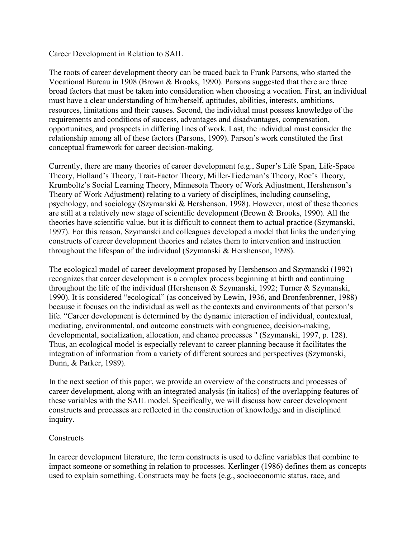Career Development in Relation to SAIL

The roots of career development theory can be traced back to Frank Parsons, who started the Vocational Bureau in 1908 (Brown & Brooks, 1990). Parsons suggested that there are three broad factors that must be taken into consideration when choosing a vocation. First, an individual must have a clear understanding of him/herself, aptitudes, abilities, interests, ambitions, resources, limitations and their causes. Second, the individual must possess knowledge of the requirements and conditions of success, advantages and disadvantages, compensation, opportunities, and prospects in differing lines of work. Last, the individual must consider the relationship among all of these factors (Parsons, 1909). Parson's work constituted the first conceptual framework for career decision-making.

Currently, there are many theories of career development (e.g., Super's Life Span, Life-Space Theory, Holland's Theory, Trait-Factor Theory, Miller-Tiedeman's Theory, Roe's Theory, Krumboltz's Social Learning Theory, Minnesota Theory of Work Adjustment, Hershenson's Theory of Work Adjustment) relating to a variety of disciplines, including counseling, psychology, and sociology (Szymanski & Hershenson, 1998). However, most of these theories are still at a relatively new stage of scientific development (Brown & Brooks, 1990). All the theories have scientific value, but it is difficult to connect them to actual practice (Szymanski, 1997). For this reason, Szymanski and colleagues developed a model that links the underlying constructs of career development theories and relates them to intervention and instruction throughout the lifespan of the individual (Szymanski & Hershenson, 1998).

The ecological model of career development proposed by Hershenson and Szymanski (1992) recognizes that career development is a complex process beginning at birth and continuing throughout the life of the individual (Hershenson & Szymanski, 1992; Turner & Szymanski, 1990). It is considered "ecological" (as conceived by Lewin, 1936, and Bronfenbrenner, 1988) because it focuses on the individual as well as the contexts and environments of that person's life. "Career development is determined by the dynamic interaction of individual, contextual, mediating, environmental, and outcome constructs with congruence, decision-making, developmental, socialization, allocation, and chance processes " (Szymanski, 1997, p. 128). Thus, an ecological model is especially relevant to career planning because it facilitates the integration of information from a variety of different sources and perspectives (Szymanski, Dunn, & Parker, 1989).

In the next section of this paper, we provide an overview of the constructs and processes of career development, along with an integrated analysis (in italics) of the overlapping features of these variables with the SAIL model. Specifically, we will discuss how career development constructs and processes are reflected in the construction of knowledge and in disciplined inquiry.

### **Constructs**

In career development literature, the term constructs is used to define variables that combine to impact someone or something in relation to processes. Kerlinger (1986) defines them as concepts used to explain something. Constructs may be facts (e.g., socioeconomic status, race, and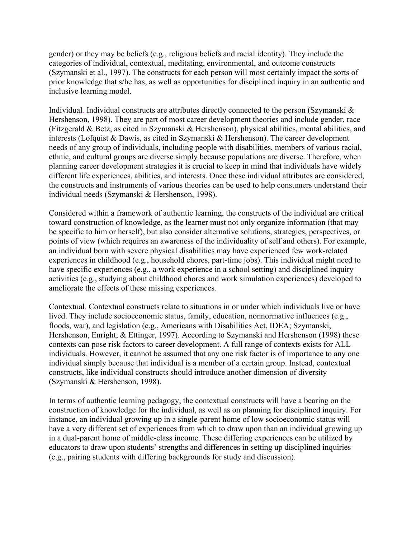gender) or they may be beliefs (e.g., religious beliefs and racial identity). They include the categories of individual, contextual, meditating, environmental, and outcome constructs (Szymanski et al., 1997). The constructs for each person will most certainly impact the sorts of prior knowledge that s/he has, as well as opportunities for disciplined inquiry in an authentic and inclusive learning model.

Individual. Individual constructs are attributes directly connected to the person (Szymanski & Hershenson, 1998). They are part of most career development theories and include gender, race (Fitzgerald & Betz, as cited in Szymanski & Hershenson), physical abilities, mental abilities, and interests (Lofquist & Dawis, as cited in Szymanski & Hershenson). The career development needs of any group of individuals, including people with disabilities, members of various racial, ethnic, and cultural groups are diverse simply because populations are diverse. Therefore, when planning career development strategies it is crucial to keep in mind that individuals have widely different life experiences, abilities, and interests. Once these individual attributes are considered, the constructs and instruments of various theories can be used to help consumers understand their individual needs (Szymanski & Hershenson, 1998).

Considered within a framework of authentic learning, the constructs of the individual are critical toward construction of knowledge, as the learner must not only organize information (that may be specific to him or herself), but also consider alternative solutions, strategies, perspectives, or points of view (which requires an awareness of the individuality of self and others). For example, an individual born with severe physical disabilities may have experienced few work-related experiences in childhood (e.g., household chores, part-time jobs). This individual might need to have specific experiences (e.g., a work experience in a school setting) and disciplined inquiry activities (e.g., studying about childhood chores and work simulation experiences) developed to ameliorate the effects of these missing experiences*.* 

Contextual. Contextual constructs relate to situations in or under which individuals live or have lived. They include socioeconomic status, family, education, nonnormative influences (e.g., floods, war), and legislation (e.g., Americans with Disabilities Act, IDEA; Szymanski, Hershenson, Enright, & Ettinger, 1997). According to Szymanski and Hershenson (1998) these contexts can pose risk factors to career development. A full range of contexts exists for ALL individuals. However, it cannot be assumed that any one risk factor is of importance to any one individual simply because that individual is a member of a certain group. Instead, contextual constructs, like individual constructs should introduce another dimension of diversity (Szymanski & Hershenson, 1998).

In terms of authentic learning pedagogy, the contextual constructs will have a bearing on the construction of knowledge for the individual, as well as on planning for disciplined inquiry. For instance, an individual growing up in a single-parent home of low socioeconomic status will have a very different set of experiences from which to draw upon than an individual growing up in a dual-parent home of middle-class income. These differing experiences can be utilized by educators to draw upon students' strengths and differences in setting up disciplined inquiries (e.g., pairing students with differing backgrounds for study and discussion).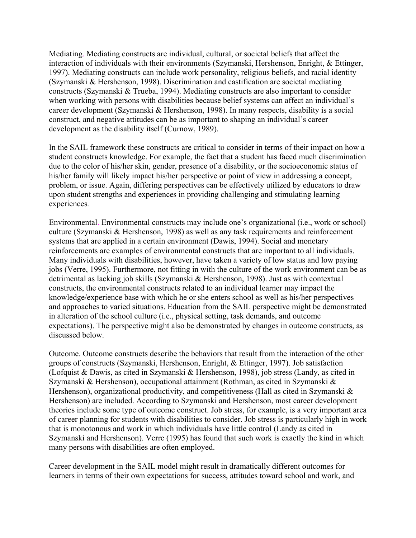Mediating. Mediating constructs are individual, cultural, or societal beliefs that affect the interaction of individuals with their environments (Szymanski, Hershenson, Enright, & Ettinger, 1997). Mediating constructs can include work personality, religious beliefs, and racial identity (Szymanski & Hershenson, 1998). Discrimination and castification are societal mediating constructs (Szymanski & Trueba, 1994). Mediating constructs are also important to consider when working with persons with disabilities because belief systems can affect an individual's career development (Szymanski & Hershenson, 1998). In many respects, disability is a social construct, and negative attitudes can be as important to shaping an individual's career development as the disability itself (Curnow, 1989).

In the SAIL framework these constructs are critical to consider in terms of their impact on how a student constructs knowledge. For example, the fact that a student has faced much discrimination due to the color of his/her skin, gender, presence of a disability, or the socioeconomic status of his/her family will likely impact his/her perspective or point of view in addressing a concept, problem, or issue. Again, differing perspectives can be effectively utilized by educators to draw upon student strengths and experiences in providing challenging and stimulating learning experiences*.* 

Environmental. Environmental constructs may include one's organizational (i.e., work or school) culture (Szymanski & Hershenson, 1998) as well as any task requirements and reinforcement systems that are applied in a certain environment (Dawis, 1994). Social and monetary reinforcements are examples of environmental constructs that are important to all individuals. Many individuals with disabilities, however, have taken a variety of low status and low paying jobs (Verre, 1995). Furthermore, not fitting in with the culture of the work environment can be as detrimental as lacking job skills (Szymanski & Hershenson, 1998). Just as with contextual constructs, the environmental constructs related to an individual learner may impact the knowledge/experience base with which he or she enters school as well as his/her perspectives and approaches to varied situations. Education from the SAIL perspective might be demonstrated in alteration of the school culture (i.e., physical setting, task demands, and outcome expectations). The perspective might also be demonstrated by changes in outcome constructs, as discussed below.

Outcome. Outcome constructs describe the behaviors that result from the interaction of the other groups of constructs (Szymanski, Hershenson, Enright, & Ettinger, 1997). Job satisfaction (Lofquist & Dawis, as cited in Szymanski & Hershenson, 1998), job stress (Landy, as cited in Szymanski & Hershenson), occupational attainment (Rothman, as cited in Szymanski & Hershenson), organizational productivity, and competitiveness (Hall as cited in Szymanski & Hershenson) are included. According to Szymanski and Hershenson, most career development theories include some type of outcome construct. Job stress, for example, is a very important area of career planning for students with disabilities to consider. Job stress is particularly high in work that is monotonous and work in which individuals have little control (Landy as cited in Szymanski and Hershenson). Verre (1995) has found that such work is exactly the kind in which many persons with disabilities are often employed.

Career development in the SAIL model might result in dramatically different outcomes for learners in terms of their own expectations for success, attitudes toward school and work, and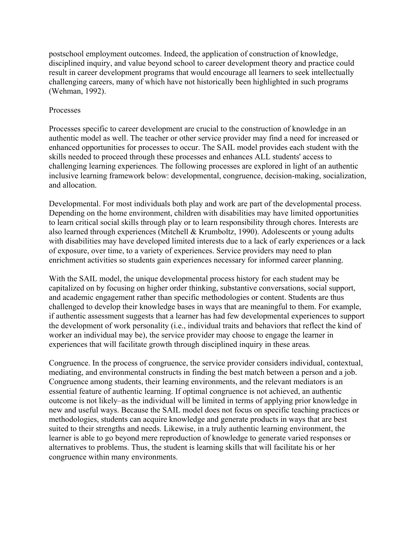postschool employment outcomes. Indeed, the application of construction of knowledge, disciplined inquiry, and value beyond school to career development theory and practice could result in career development programs that would encourage all learners to seek intellectually challenging careers, many of which have not historically been highlighted in such programs (Wehman, 1992).

## Processes

Processes specific to career development are crucial to the construction of knowledge in an authentic model as well. The teacher or other service provider may find a need for increased or enhanced opportunities for processes to occur. The SAIL model provides each student with the skills needed to proceed through these processes and enhances ALL students' access to challenging learning experiences*.* The following processes are explored in light of an authentic inclusive learning framework below: developmental, congruence, decision-making, socialization, and allocation.

Developmental. For most individuals both play and work are part of the developmental process. Depending on the home environment, children with disabilities may have limited opportunities to learn critical social skills through play or to learn responsibility through chores. Interests are also learned through experiences (Mitchell & Krumboltz, 1990). Adolescents or young adults with disabilities may have developed limited interests due to a lack of early experiences or a lack of exposure, over time, to a variety of experiences. Service providers may need to plan enrichment activities so students gain experiences necessary for informed career planning.

With the SAIL model, the unique developmental process history for each student may be capitalized on by focusing on higher order thinking, substantive conversations, social support, and academic engagement rather than specific methodologies or content. Students are thus challenged to develop their knowledge bases in ways that are meaningful to them. For example, if authentic assessment suggests that a learner has had few developmental experiences to support the development of work personality (i.e., individual traits and behaviors that reflect the kind of worker an individual may be), the service provider may choose to engage the learner in experiences that will facilitate growth through disciplined inquiry in these areas*.* 

Congruence. In the process of congruence, the service provider considers individual, contextual, mediating, and environmental constructs in finding the best match between a person and a job. Congruence among students, their learning environments, and the relevant mediators is an essential feature of authentic learning. If optimal congruence is not achieved, an authentic outcome is not likely–as the individual will be limited in terms of applying prior knowledge in new and useful ways. Because the SAIL model does not focus on specific teaching practices or methodologies, students can acquire knowledge and generate products in ways that are best suited to their strengths and needs. Likewise, in a truly authentic learning environment, the learner is able to go beyond mere reproduction of knowledge to generate varied responses or alternatives to problems. Thus, the student is learning skills that will facilitate his or her congruence within many environments.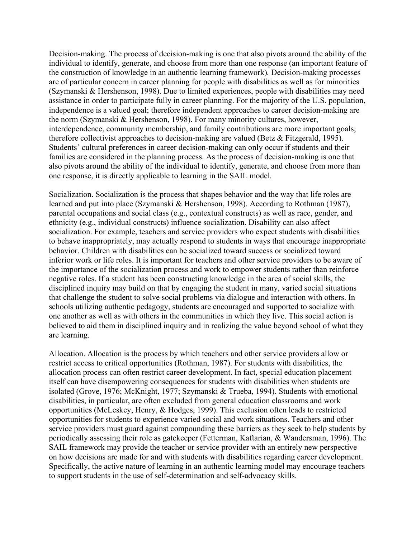Decision-making. The process of decision-making is one that also pivots around the ability of the individual to identify, generate, and choose from more than one response (an important feature of the construction of knowledge in an authentic learning framework)*.* Decision-making processes are of particular concern in career planning for people with disabilities as well as for minorities (Szymanski & Hershenson, 1998). Due to limited experiences, people with disabilities may need assistance in order to participate fully in career planning. For the majority of the U.S. population, independence is a valued goal; therefore independent approaches to career decision-making are the norm (Szymanski & Hershenson, 1998). For many minority cultures, however, interdependence, community membership, and family contributions are more important goals; therefore collectivist approaches to decision-making are valued (Betz & Fitzgerald, 1995). Students' cultural preferences in career decision-making can only occur if students and their families are considered in the planning process. As the process of decision-making is one that also pivots around the ability of the individual to identify, generate, and choose from more than one response, it is directly applicable to learning in the SAIL model*.* 

Socialization. Socialization is the process that shapes behavior and the way that life roles are learned and put into place (Szymanski & Hershenson, 1998). According to Rothman (1987), parental occupations and social class (e.g., contextual constructs) as well as race, gender, and ethnicity (e.g., individual constructs) influence socialization. Disability can also affect socialization. For example, teachers and service providers who expect students with disabilities to behave inappropriately, may actually respond to students in ways that encourage inappropriate behavior. Children with disabilities can be socialized toward success or socialized toward inferior work or life roles. It is important for teachers and other service providers to be aware of the importance of the socialization process and work to empower students rather than reinforce negative roles. If a student has been constructing knowledge in the area of social skills, the disciplined inquiry may build on that by engaging the student in many, varied social situations that challenge the student to solve social problems via dialogue and interaction with others. In schools utilizing authentic pedagogy, students are encouraged and supported to socialize with one another as well as with others in the communities in which they live. This social action is believed to aid them in disciplined inquiry and in realizing the value beyond school of what they are learning.

Allocation. Allocation is the process by which teachers and other service providers allow or restrict access to critical opportunities (Rothman, 1987). For students with disabilities, the allocation process can often restrict career development. In fact, special education placement itself can have disempowering consequences for students with disabilities when students are isolated (Grove, 1976; McKnight, 1977; Szymanski & Trueba, 1994). Students with emotional disabilities, in particular, are often excluded from general education classrooms and work opportunities (McLeskey, Henry, & Hodges, 1999). This exclusion often leads to restricted opportunities for students to experience varied social and work situations. Teachers and other service providers must guard against compounding these barriers as they seek to help students by periodically assessing their role as gatekeeper (Fetterman, Kaftarian, & Wandersman, 1996). The SAIL framework may provide the teacher or service provider with an entirely new perspective on how decisions are made for and with students with disabilities regarding career development. Specifically, the active nature of learning in an authentic learning model may encourage teachers to support students in the use of self-determination and self-advocacy skills.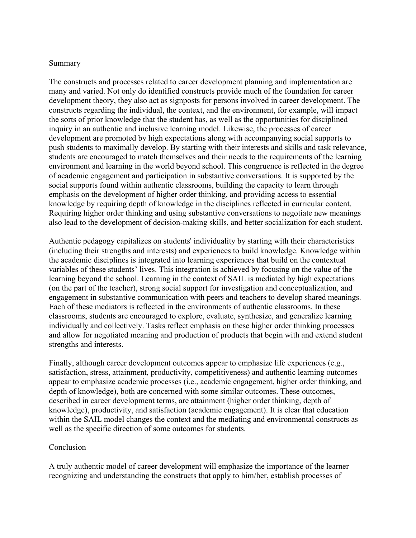#### Summary

The constructs and processes related to career development planning and implementation are many and varied. Not only do identified constructs provide much of the foundation for career development theory, they also act as signposts for persons involved in career development. The constructs regarding the individual, the context, and the environment, for example, will impact the sorts of prior knowledge that the student has, as well as the opportunities for disciplined inquiry in an authentic and inclusive learning model. Likewise, the processes of career development are promoted by high expectations along with accompanying social supports to push students to maximally develop. By starting with their interests and skills and task relevance, students are encouraged to match themselves and their needs to the requirements of the learning environment and learning in the world beyond school. This congruence is reflected in the degree of academic engagement and participation in substantive conversations. It is supported by the social supports found within authentic classrooms, building the capacity to learn through emphasis on the development of higher order thinking, and providing access to essential knowledge by requiring depth of knowledge in the disciplines reflected in curricular content. Requiring higher order thinking and using substantive conversations to negotiate new meanings also lead to the development of decision-making skills, and better socialization for each student.

Authentic pedagogy capitalizes on students' individuality by starting with their characteristics (including their strengths and interests) and experiences to build knowledge. Knowledge within the academic disciplines is integrated into learning experiences that build on the contextual variables of these students' lives. This integration is achieved by focusing on the value of the learning beyond the school. Learning in the context of SAIL is mediated by high expectations (on the part of the teacher), strong social support for investigation and conceptualization, and engagement in substantive communication with peers and teachers to develop shared meanings. Each of these mediators is reflected in the environments of authentic classrooms. In these classrooms, students are encouraged to explore, evaluate, synthesize, and generalize learning individually and collectively. Tasks reflect emphasis on these higher order thinking processes and allow for negotiated meaning and production of products that begin with and extend student strengths and interests.

Finally, although career development outcomes appear to emphasize life experiences (e.g., satisfaction, stress, attainment, productivity, competitiveness) and authentic learning outcomes appear to emphasize academic processes (i.e., academic engagement, higher order thinking, and depth of knowledge), both are concerned with some similar outcomes. These outcomes, described in career development terms, are attainment (higher order thinking, depth of knowledge), productivity, and satisfaction (academic engagement). It is clear that education within the SAIL model changes the context and the mediating and environmental constructs as well as the specific direction of some outcomes for students.

#### **Conclusion**

A truly authentic model of career development will emphasize the importance of the learner recognizing and understanding the constructs that apply to him/her, establish processes of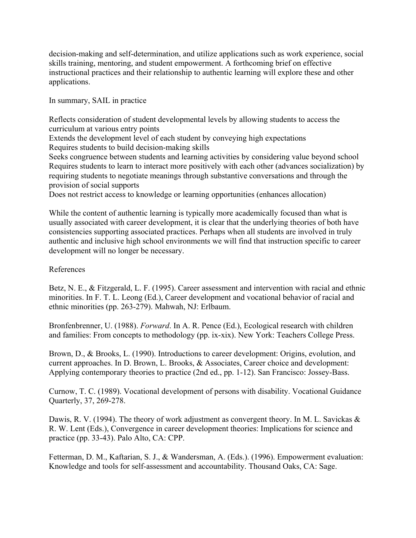decision-making and self-determination, and utilize applications such as work experience, social skills training, mentoring, and student empowerment. A forthcoming brief on effective instructional practices and their relationship to authentic learning will explore these and other applications.

In summary, SAIL in practice

Reflects consideration of student developmental levels by allowing students to access the curriculum at various entry points

Extends the development level of each student by conveying high expectations Requires students to build decision-making skills

Seeks congruence between students and learning activities by considering value beyond school Requires students to learn to interact more positively with each other (advances socialization) by requiring students to negotiate meanings through substantive conversations and through the provision of social supports

Does not restrict access to knowledge or learning opportunities (enhances allocation)

While the content of authentic learning is typically more academically focused than what is usually associated with career development, it is clear that the underlying theories of both have consistencies supporting associated practices. Perhaps when all students are involved in truly authentic and inclusive high school environments we will find that instruction specific to career development will no longer be necessary.

### References

Betz, N. E., & Fitzgerald, L. F. (1995). Career assessment and intervention with racial and ethnic minorities. In F. T. L. Leong (Ed.), Career development and vocational behavior of racial and ethnic minorities (pp. 263-279). Mahwah, NJ: Erlbaum.

Bronfenbrenner, U. (1988). *Forward*. In A. R. Pence (Ed.), Ecological research with children and families: From concepts to methodology (pp. ix-xix). New York: Teachers College Press.

Brown, D., & Brooks, L. (1990). Introductions to career development: Origins, evolution, and current approaches. In D. Brown, L. Brooks, & Associates, Career choice and development: Applying contemporary theories to practice (2nd ed., pp. 1-12). San Francisco: Jossey-Bass.

Curnow, T. C. (1989). Vocational development of persons with disability. Vocational Guidance Quarterly, 37, 269-278.

Dawis, R. V. (1994). The theory of work adjustment as convergent theory. In M. L. Savickas  $\&$ R. W. Lent (Eds.), Convergence in career development theories: Implications for science and practice (pp. 33-43). Palo Alto, CA: CPP.

Fetterman, D. M., Kaftarian, S. J., & Wandersman, A. (Eds.). (1996). Empowerment evaluation: Knowledge and tools for self-assessment and accountability. Thousand Oaks, CA: Sage.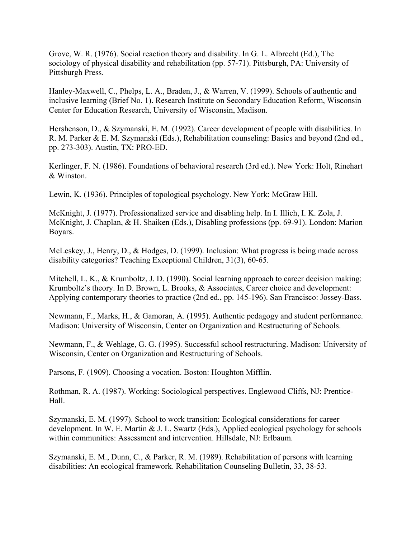Grove, W. R. (1976). Social reaction theory and disability. In G. L. Albrecht (Ed.), The sociology of physical disability and rehabilitation (pp. 57-71). Pittsburgh, PA: University of Pittsburgh Press.

Hanley-Maxwell, C., Phelps, L. A., Braden, J., & Warren, V. (1999). Schools of authentic and inclusive learning (Brief No. 1). Research Institute on Secondary Education Reform, Wisconsin Center for Education Research, University of Wisconsin, Madison.

Hershenson, D., & Szymanski, E. M. (1992). Career development of people with disabilities. In R. M. Parker & E. M. Szymanski (Eds.), Rehabilitation counseling: Basics and beyond (2nd ed., pp. 273-303). Austin, TX: PRO-ED.

Kerlinger, F. N. (1986). Foundations of behavioral research (3rd ed.). New York: Holt, Rinehart & Winston.

Lewin, K. (1936). Principles of topological psychology. New York: McGraw Hill.

McKnight, J. (1977). Professionalized service and disabling help. In I. Illich, I. K. Zola, J. McKnight, J. Chaplan, & H. Shaiken (Eds.), Disabling professions (pp. 69-91). London: Marion Boyars.

McLeskey, J., Henry, D., & Hodges, D. (1999). Inclusion: What progress is being made across disability categories? Teaching Exceptional Children, 31(3), 60-65.

Mitchell, L. K., & Krumboltz, J. D. (1990). Social learning approach to career decision making: Krumboltz's theory. In D. Brown, L. Brooks, & Associates, Career choice and development: Applying contemporary theories to practice (2nd ed., pp. 145-196). San Francisco: Jossey-Bass.

Newmann, F., Marks, H., & Gamoran, A. (1995). Authentic pedagogy and student performance. Madison: University of Wisconsin, Center on Organization and Restructuring of Schools.

Newmann, F., & Wehlage, G. G. (1995). Successful school restructuring. Madison: University of Wisconsin, Center on Organization and Restructuring of Schools.

Parsons, F. (1909). Choosing a vocation. Boston: Houghton Mifflin.

Rothman, R. A. (1987). Working: Sociological perspectives. Englewood Cliffs, NJ: Prentice-Hall.

Szymanski, E. M. (1997). School to work transition: Ecological considerations for career development. In W. E. Martin & J. L. Swartz (Eds.), Applied ecological psychology for schools within communities: Assessment and intervention. Hillsdale, NJ: Erlbaum.

Szymanski, E. M., Dunn, C., & Parker, R. M. (1989). Rehabilitation of persons with learning disabilities: An ecological framework. Rehabilitation Counseling Bulletin, 33, 38-53.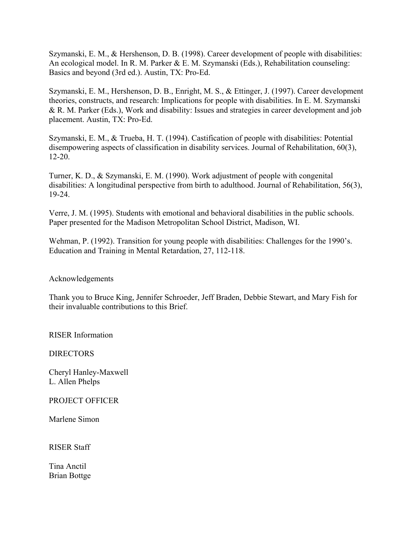Szymanski, E. M., & Hershenson, D. B. (1998). Career development of people with disabilities: An ecological model. In R. M. Parker & E. M. Szymanski (Eds.), Rehabilitation counseling: Basics and beyond (3rd ed.). Austin, TX: Pro-Ed.

Szymanski, E. M., Hershenson, D. B., Enright, M. S., & Ettinger, J. (1997). Career development theories, constructs, and research: Implications for people with disabilities. In E. M. Szymanski & R. M. Parker (Eds.), Work and disability: Issues and strategies in career development and job placement. Austin, TX: Pro-Ed.

Szymanski, E. M., & Trueba, H. T. (1994). Castification of people with disabilities: Potential disempowering aspects of classification in disability services. Journal of Rehabilitation, 60(3), 12-20.

Turner, K. D., & Szymanski, E. M. (1990). Work adjustment of people with congenital disabilities: A longitudinal perspective from birth to adulthood. Journal of Rehabilitation, 56(3), 19-24.

Verre, J. M. (1995). Students with emotional and behavioral disabilities in the public schools. Paper presented for the Madison Metropolitan School District, Madison, WI.

Wehman, P. (1992). Transition for young people with disabilities: Challenges for the 1990's. Education and Training in Mental Retardation, 27, 112-118.

### Acknowledgements

Thank you to Bruce King, Jennifer Schroeder, Jeff Braden, Debbie Stewart, and Mary Fish for their invaluable contributions to this Brief.

RISER Information

**DIRECTORS** 

Cheryl Hanley-Maxwell L. Allen Phelps

PROJECT OFFICER

Marlene Simon

RISER Staff

Tina Anctil Brian Bottge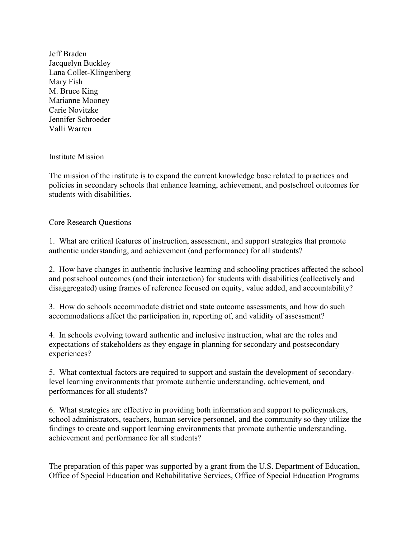Jeff Braden Jacquelyn Buckley Lana Collet-Klingenberg Mary Fish M. Bruce King Marianne Mooney Carie Novitzke Jennifer Schroeder Valli Warren

Institute Mission

The mission of the institute is to expand the current knowledge base related to practices and policies in secondary schools that enhance learning, achievement, and postschool outcomes for students with disabilities.

Core Research Questions

1. What are critical features of instruction, assessment, and support strategies that promote authentic understanding, and achievement (and performance) for all students?

2. How have changes in authentic inclusive learning and schooling practices affected the school and postschool outcomes (and their interaction) for students with disabilities (collectively and disaggregated) using frames of reference focused on equity, value added, and accountability?

3. How do schools accommodate district and state outcome assessments, and how do such accommodations affect the participation in, reporting of, and validity of assessment?

4. In schools evolving toward authentic and inclusive instruction, what are the roles and expectations of stakeholders as they engage in planning for secondary and postsecondary experiences?

5. What contextual factors are required to support and sustain the development of secondarylevel learning environments that promote authentic understanding, achievement, and performances for all students?

6. What strategies are effective in providing both information and support to policymakers, school administrators, teachers, human service personnel, and the community so they utilize the findings to create and support learning environments that promote authentic understanding, achievement and performance for all students?

The preparation of this paper was supported by a grant from the U.S. Department of Education, Office of Special Education and Rehabilitative Services, Office of Special Education Programs